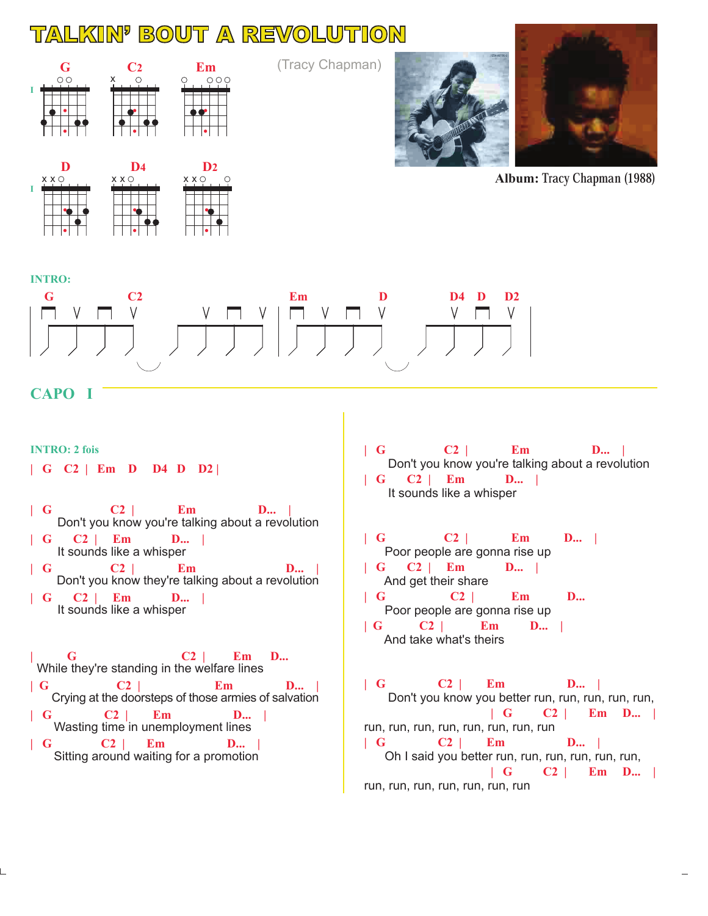## TALKIN BOUT A REVOLUTION



 $X \times \bigcirc$  $X \times \bigcirc$  $X \times \bigcirc$ **I**

(Tracy Chapman)





**Album:** Tracy Chapman (1988)



## **CAPO I**

**INTRO: 2 fois | G C2 | Em D D4 D D2 |**

- **| G C2 | Em D... | | G C2 | Em D... |** Don't you know you're talking about a revolution
- **| G C2 | Em D... |** It sounds like a whisper Don't you know they're talking about a revolution
- **| G C2 | Em D... |** It sounds like a whisper

**| G C2 | Em D... | G C2 | Em D... | | G C2 | Em D... | | G C2 | Em D... |** While they're standing in the welfare lines Crying at the doorsteps of those armies of salvation Wasting time in unemployment lines Sitting around waiting for a promotion

- Don't you know you're talking about a revolution **| G C2 | Em D... | | G C2 | Em D... |**
	- It sounds like a whisper
- Poor people are gonna rise up And get their share Poor people are gonna rise up And take what's theirs **| G C2 | Em D... | | G C2 | Em D... | | G C2 | Em D... | G C2 | Em D... |**

 Don't you know you better run, run, run, run, run, run, run, run, run, run, run, run, run Oh I said you better run, run, run, run, run, run, run, run, run, run, run, run, run **| G C2 | Em D... | | G C2 | Em D... | | G C2 | Em D... | | G C2 | Em D... |**